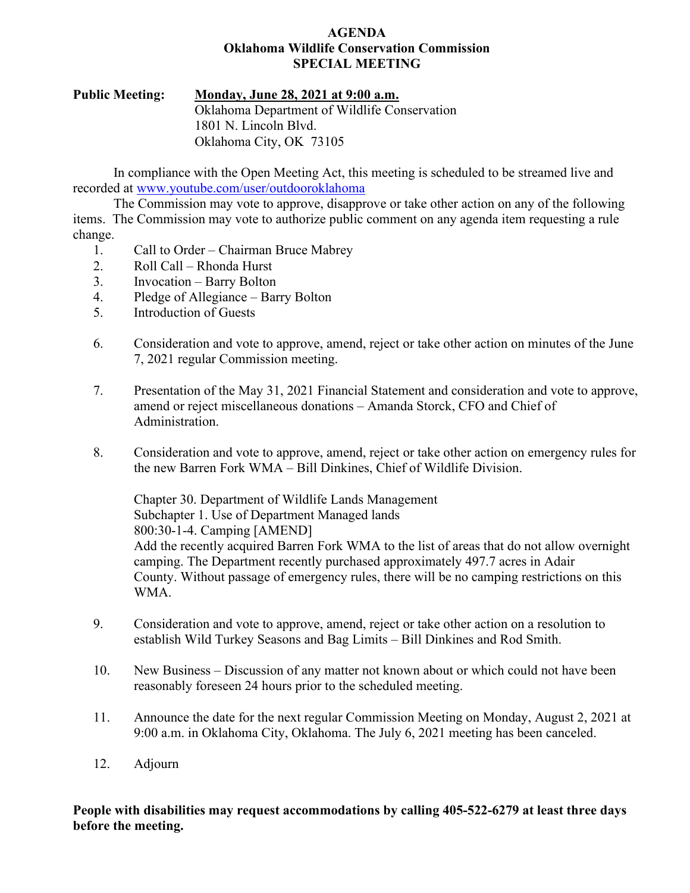### **AGENDA Oklahoma Wildlife Conservation Commission SPECIAL MEETING**

# **Public Meeting: Monday, June 28, 2021 at 9:00 a.m.** Oklahoma Department of Wildlife Conservation 1801 N. Lincoln Blvd. Oklahoma City, OK 73105

In compliance with the Open Meeting Act, this meeting is scheduled to be streamed live and recorded at [www.youtube.com/user/outdooroklahoma](http://www.youtube.com/user/outdooroklahoma)

The Commission may vote to approve, disapprove or take other action on any of the following items. The Commission may vote to authorize public comment on any agenda item requesting a rule change.

- 1. Call to Order Chairman Bruce Mabrey
- 2. Roll Call Rhonda Hurst
- 3. Invocation Barry Bolton
- 4. Pledge of Allegiance Barry Bolton
- 5. Introduction of Guests
- 6. Consideration and vote to approve, amend, reject or take other action on minutes of the June 7, 2021 regular Commission meeting.
- 7. Presentation of the May 31, 2021 Financial Statement and consideration and vote to approve, amend or reject miscellaneous donations – Amanda Storck, CFO and Chief of Administration.
- 8. Consideration and vote to approve, amend, reject or take other action on emergency rules for the new Barren Fork WMA – Bill Dinkines, Chief of Wildlife Division.

Chapter 30. Department of Wildlife Lands Management Subchapter 1. Use of Department Managed lands 800:30-1-4. Camping [AMEND] Add the recently acquired Barren Fork WMA to the list of areas that do not allow overnight camping. The Department recently purchased approximately 497.7 acres in Adair County. Without passage of emergency rules, there will be no camping restrictions on this WMA.

- 9. Consideration and vote to approve, amend, reject or take other action on a resolution to establish Wild Turkey Seasons and Bag Limits – Bill Dinkines and Rod Smith.
- 10. New Business Discussion of any matter not known about or which could not have been reasonably foreseen 24 hours prior to the scheduled meeting.
- 11. Announce the date for the next regular Commission Meeting on Monday, August 2, 2021 at 9:00 a.m. in Oklahoma City, Oklahoma. The July 6, 2021 meeting has been canceled.
- 12. Adjourn

## **People with disabilities may request accommodations by calling 405-522-6279 at least three days before the meeting.**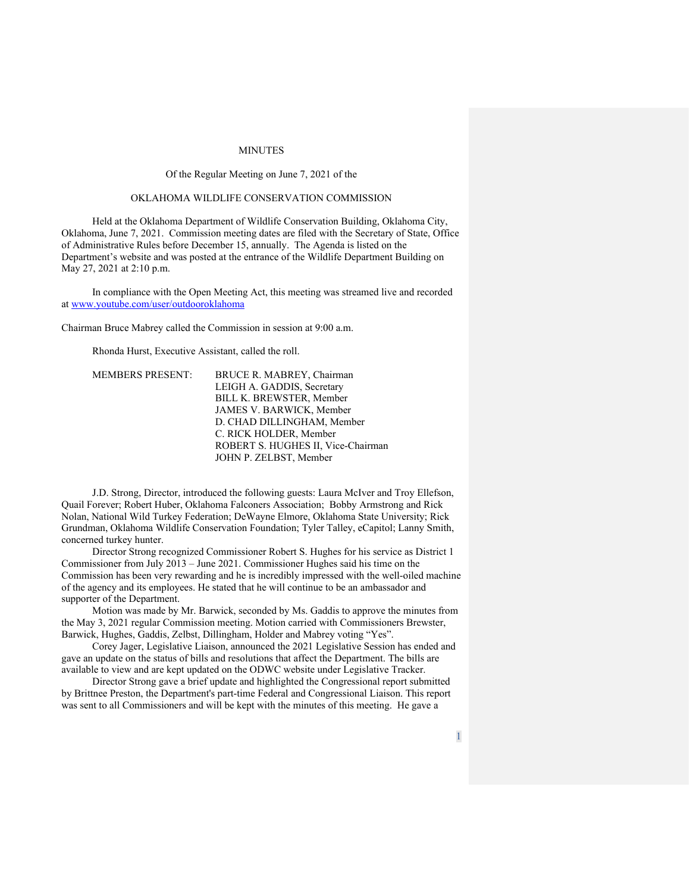#### MINUTES

#### Of the Regular Meeting on June 7, 2021 of the

#### OKLAHOMA WILDLIFE CONSERVATION COMMISSION

Held at the Oklahoma Department of Wildlife Conservation Building, Oklahoma City, Oklahoma, June 7, 2021. Commission meeting dates are filed with the Secretary of State, Office of Administrative Rules before December 15, annually. The Agenda is listed on the Department's website and was posted at the entrance of the Wildlife Department Building on May 27, 2021 at 2:10 p.m.

In compliance with the Open Meeting Act, this meeting was streamed live and recorded at [www.youtube.com/user/outdooroklahoma](http://www.youtube.com/user/outdooroklahoma)

Chairman Bruce Mabrey called the Commission in session at 9:00 a.m.

Rhonda Hurst, Executive Assistant, called the roll.

| <b>MEMBERS PRESENT:</b> | BRUCE R. MABREY, Chairman          |
|-------------------------|------------------------------------|
|                         | LEIGH A. GADDIS, Secretary         |
|                         | BILL K. BREWSTER, Member           |
|                         | JAMES V. BARWICK, Member           |
|                         | D. CHAD DILLINGHAM, Member         |
|                         | C. RICK HOLDER, Member             |
|                         | ROBERT S. HUGHES II, Vice-Chairman |
|                         | JOHN P. ZELBST, Member             |
|                         |                                    |

J.D. Strong, Director, introduced the following guests: Laura McIver and Troy Ellefson, Quail Forever; Robert Huber, Oklahoma Falconers Association; Bobby Armstrong and Rick Nolan, National Wild Turkey Federation; DeWayne Elmore, Oklahoma State University; Rick Grundman, Oklahoma Wildlife Conservation Foundation; Tyler Talley, eCapitol; Lanny Smith, concerned turkey hunter.

Director Strong recognized Commissioner Robert S. Hughes for his service as District 1 Commissioner from July 2013 – June 2021. Commissioner Hughes said his time on the Commission has been very rewarding and he is incredibly impressed with the well-oiled machine of the agency and its employees. He stated that he will continue to be an ambassador and supporter of the Department.

Motion was made by Mr. Barwick, seconded by Ms. Gaddis to approve the minutes from the May 3, 2021 regular Commission meeting. Motion carried with Commissioners Brewster, Barwick, Hughes, Gaddis, Zelbst, Dillingham, Holder and Mabrey voting "Yes".

Corey Jager, Legislative Liaison, announced the 2021 Legislative Session has ended and gave an update on the status of bills and resolutions that affect the Department. The bills are available to view and are kept updated on the ODWC website under Legislative Tracker.

Director Strong gave a brief update and highlighted the Congressional report submitted by Brittnee Preston, the Department's part-time Federal and Congressional Liaison. This report was sent to all Commissioners and will be kept with the minutes of this meeting. He gave a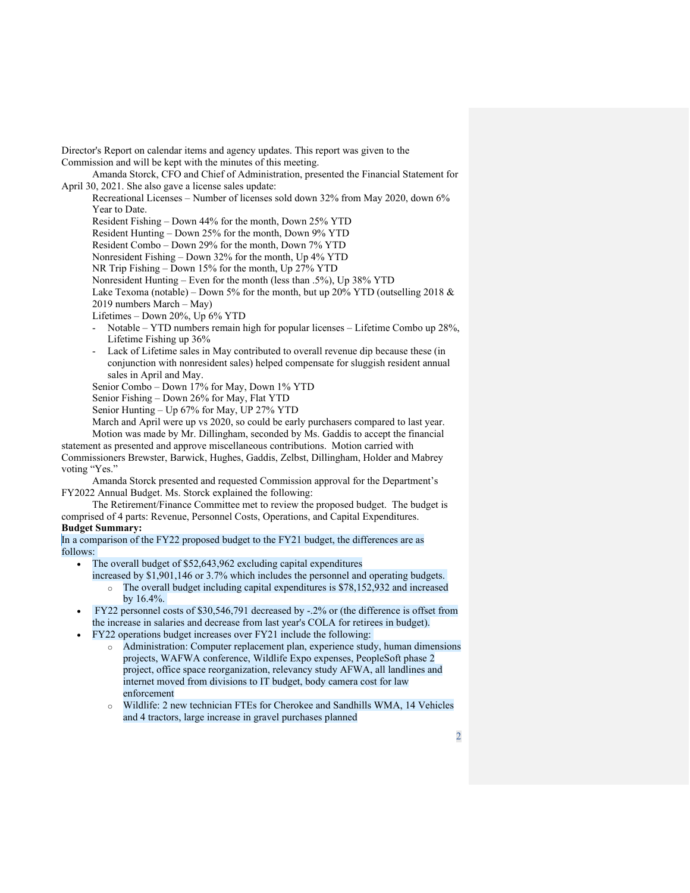Director's Report on calendar items and agency updates. This report was given to the Commission and will be kept with the minutes of this meeting.

Amanda Storck, CFO and Chief of Administration, presented the Financial Statement for April 30, 2021. She also gave a license sales update:

Recreational Licenses – Number of licenses sold down 32% from May 2020, down 6% Year to Date.

Resident Fishing – Down 44% for the month, Down 25% YTD

Resident Hunting – Down 25% for the month, Down 9% YTD

Resident Combo – Down 29% for the month, Down 7% YTD

Nonresident Fishing – Down 32% for the month, Up 4% YTD

NR Trip Fishing – Down 15% for the month, Up 27% YTD

Nonresident Hunting – Even for the month (less than .5%), Up 38% YTD

Lake Texoma (notable) – Down 5% for the month, but up 20% YTD (outselling 2018  $\&$ 2019 numbers March – May)

Lifetimes – Down 20%, Up 6% YTD

- Notable YTD numbers remain high for popular licenses Lifetime Combo up 28%, Lifetime Fishing up 36%
- Lack of Lifetime sales in May contributed to overall revenue dip because these (in conjunction with nonresident sales) helped compensate for sluggish resident annual sales in April and May.
- Senior Combo Down 17% for May, Down 1% YTD

Senior Fishing – Down 26% for May, Flat YTD

Senior Hunting – Up 67% for May, UP 27% YTD

March and April were up vs 2020, so could be early purchasers compared to last year. Motion was made by Mr. Dillingham, seconded by Ms. Gaddis to accept the financial

statement as presented and approve miscellaneous contributions. Motion carried with Commissioners Brewster, Barwick, Hughes, Gaddis, Zelbst, Dillingham, Holder and Mabrey voting "Yes."

Amanda Storck presented and requested Commission approval for the Department's FY2022 Annual Budget. Ms. Storck explained the following:

The Retirement/Finance Committee met to review the proposed budget. The budget is comprised of 4 parts: Revenue, Personnel Costs, Operations, and Capital Expenditures.

**Budget Summary:**

In a comparison of the FY22 proposed budget to the FY21 budget, the differences are as follows:

- The overall budget of \$52,643,962 excluding capital expenditures
	- increased by \$1,901,146 or 3.7% which includes the personnel and operating budgets. o The overall budget including capital expenditures is \$78,152,932 and increased by 16.4%.
- FY22 personnel costs of \$30,546,791 decreased by -.2% or (the difference is offset from the increase in salaries and decrease from last year's COLA for retirees in budget).
- FY22 operations budget increases over FY21 include the following:
	- o Administration: Computer replacement plan, experience study, human dimensions projects, WAFWA conference, Wildlife Expo expenses, PeopleSoft phase 2 project, office space reorganization, relevancy study AFWA, all landlines and internet moved from divisions to IT budget, body camera cost for law enforcement
	- o Wildlife: 2 new technician FTEs for Cherokee and Sandhills WMA, 14 Vehicles and 4 tractors, large increase in gravel purchases planned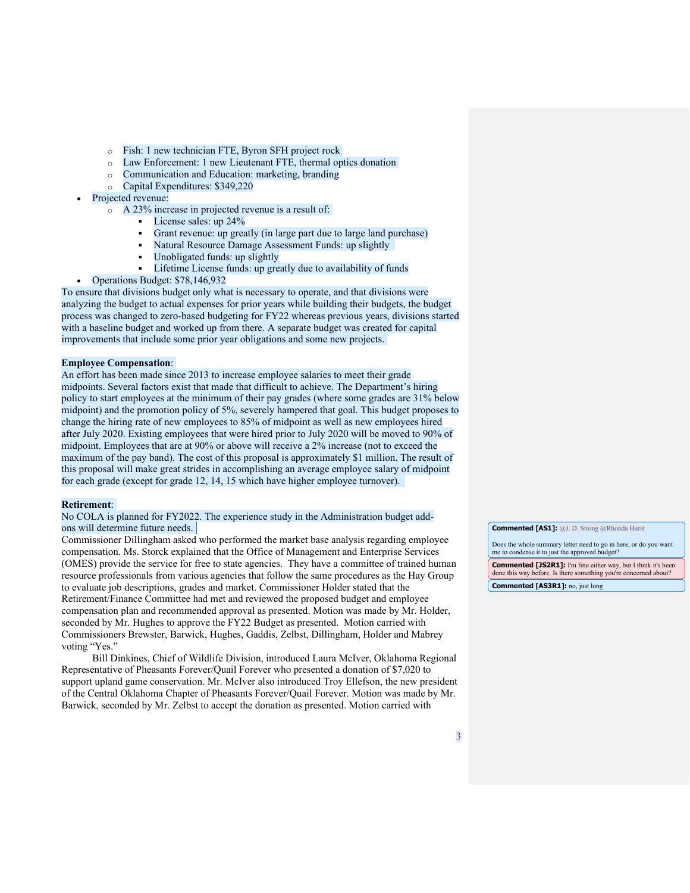- o Fish: 1 new technician FTE, Byron SFH project rock
- o Law Enforcement: 1 new Lieutenant FTE, thermal optics donation
- o Communication and Education: marketing, branding
- o Capital Expenditures: \$349,220
- Projected revenue:
	- o A 23% increase in projected revenue is a result of:
		- License sales: up 24%
		- Grant revenue: up greatly (in large part due to large land purchase)
		- Natural Resource Damage Assessment Funds: up slightly
		- Unobligated funds: up slightly
		- Lifetime License funds: up greatly due to availability of funds
- Operations Budget: \$78,146,932

To ensure that divisions budget only what is necessary to operate, and that divisions were analyzing the budget to actual expenses for prior years while building their budgets, the budget process was changed to zero-based budgeting for FY22 whereas previous years, divisions started with a baseline budget and worked up from there. A separate budget was created for capital improvements that include some prior year obligations and some new projects.

#### **Employee Compensation**:

An effort has been made since 2013 to increase employee salaries to meet their grade midpoints. Several factors exist that made that difficult to achieve. The Department's hiring policy to start employees at the minimum of their pay grades (where some grades are 31% below midpoint) and the promotion policy of 5%, severely hampered that goal. This budget proposes to change the hiring rate of new employees to 85% of midpoint as well as new employees hired after July 2020. Existing employees that were hired prior to July 2020 will be moved to 90% of midpoint. Employees that are at 90% or above will receive a 2% increase (not to exceed the maximum of the pay band). The cost of this proposal is approximately \$1 million. The result of this proposal will make great strides in accomplishing an average employee salary of midpoint for each grade (except for grade 12, 14, 15 which have higher employee turnover).

#### **Retirement**:

No COLA is planned for FY2022. The experience study in the Administration budget addons will determine future needs.

Commissioner Dillingham asked who performed the market base analysis regarding employee compensation. Ms. Storck explained that the Office of Management and Enterprise Services (OMES) provide the service for free to state agencies. They have a committee of trained human resource professionals from various agencies that follow the same procedures as the Hay Group to evaluate job descriptions, grades and market. Commissioner Holder stated that the Retirement/Finance Committee had met and reviewed the proposed budget and employee compensation plan and recommended approval as presented. Motion was made by Mr. Holder, seconded by Mr. Hughes to approve the FY22 Budget as presented. Motion carried with Commissioners Brewster, Barwick, Hughes, Gaddis, Zelbst, Dillingham, Holder and Mabrey voting "Yes."

Bill Dinkines, Chief of Wildlife Division, introduced Laura McIver, Oklahoma Regional Representative of Pheasants Forever/Quail Forever who presented a donation of \$7,020 to support upland game conservation. Mr. McIver also introduced Troy Ellefson, the new president of the Central Oklahoma Chapter of Pheasants Forever/Quail Forever. Motion was made by Mr. Barwick, seconded by Mr. Zelbst to accept the donation as presented. Motion carried with

**Commented [AS1]:** [@J. D. Strong](mailto:jd.strong@odwc.ok.gov) [@Rhonda Hurst](mailto:rhonda.hurst@odwc.ok.gov)

Does the whole summary letter need to go in here, or do you want me to condense it to just the approved budget?

**Commented [JS2R1]:** I'm fine either way, but I think it's been done this way before. Is there something you're concerned about?

**Commented [AS3R1]:** no, just long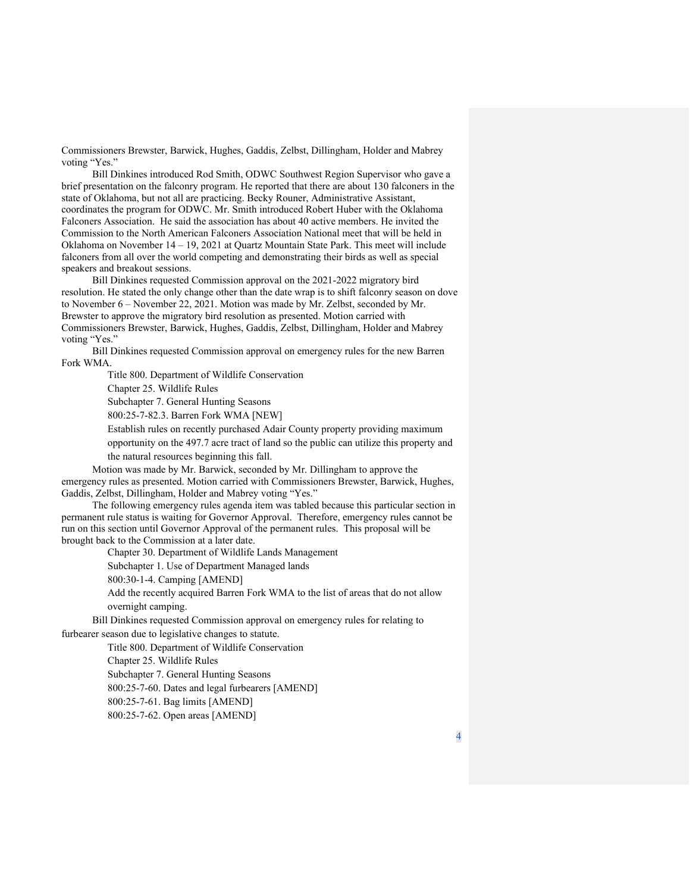Commissioners Brewster, Barwick, Hughes, Gaddis, Zelbst, Dillingham, Holder and Mabrey voting "Yes."

Bill Dinkines introduced Rod Smith, ODWC Southwest Region Supervisor who gave a brief presentation on the falconry program. He reported that there are about 130 falconers in the state of Oklahoma, but not all are practicing. Becky Rouner, Administrative Assistant, coordinates the program for ODWC. Mr. Smith introduced Robert Huber with the Oklahoma Falconers Association. He said the association has about 40 active members. He invited the Commission to the North American Falconers Association National meet that will be held in Oklahoma on November 14 – 19, 2021 at Quartz Mountain State Park. This meet will include falconers from all over the world competing and demonstrating their birds as well as special speakers and breakout sessions.

Bill Dinkines requested Commission approval on the 2021-2022 migratory bird resolution. He stated the only change other than the date wrap is to shift falconry season on dove to November 6 – November 22, 2021. Motion was made by Mr. Zelbst, seconded by Mr. Brewster to approve the migratory bird resolution as presented. Motion carried with Commissioners Brewster, Barwick, Hughes, Gaddis, Zelbst, Dillingham, Holder and Mabrey voting "Yes."

Bill Dinkines requested Commission approval on emergency rules for the new Barren Fork WMA.

Title 800. Department of Wildlife Conservation

Chapter 25. Wildlife Rules

Subchapter 7. General Hunting Seasons

800:25-7-82.3. Barren Fork WMA [NEW]

Establish rules on recently purchased Adair County property providing maximum opportunity on the 497.7 acre tract of land so the public can utilize this property and the natural resources beginning this fall.

Motion was made by Mr. Barwick, seconded by Mr. Dillingham to approve the emergency rules as presented. Motion carried with Commissioners Brewster, Barwick, Hughes, Gaddis, Zelbst, Dillingham, Holder and Mabrey voting "Yes."

The following emergency rules agenda item was tabled because this particular section in permanent rule status is waiting for Governor Approval. Therefore, emergency rules cannot be run on this section until Governor Approval of the permanent rules. This proposal will be brought back to the Commission at a later date.

Chapter 30. Department of Wildlife Lands Management

Subchapter 1. Use of Department Managed lands

800:30-1-4. Camping [AMEND]

Add the recently acquired Barren Fork WMA to the list of areas that do not allow overnight camping.

Bill Dinkines requested Commission approval on emergency rules for relating to furbearer season due to legislative changes to statute.

Title 800. Department of Wildlife Conservation

Chapter 25. Wildlife Rules Subchapter 7. General Hunting Seasons 800:25-7-60. Dates and legal furbearers [AMEND] 800:25-7-61. Bag limits [AMEND]

800:25-7-62. Open areas [AMEND]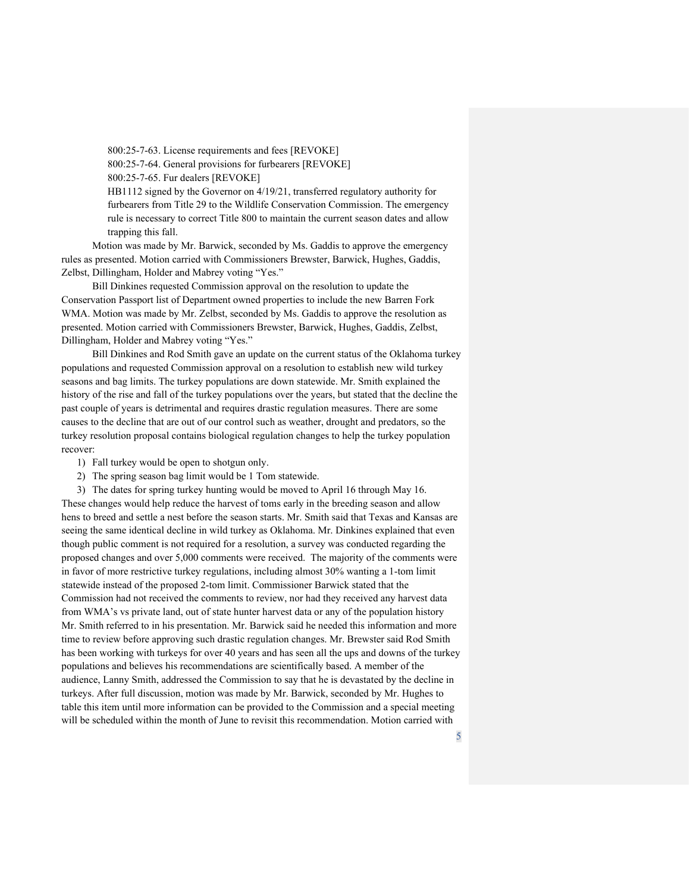800:25-7-63. License requirements and fees [REVOKE] 800:25-7-64. General provisions for furbearers [REVOKE] 800:25-7-65. Fur dealers [REVOKE]

HB1112 signed by the Governor on 4/19/21, transferred regulatory authority for furbearers from Title 29 to the Wildlife Conservation Commission. The emergency rule is necessary to correct Title 800 to maintain the current season dates and allow trapping this fall.

Motion was made by Mr. Barwick, seconded by Ms. Gaddis to approve the emergency rules as presented. Motion carried with Commissioners Brewster, Barwick, Hughes, Gaddis, Zelbst, Dillingham, Holder and Mabrey voting "Yes."

Bill Dinkines requested Commission approval on the resolution to update the Conservation Passport list of Department owned properties to include the new Barren Fork WMA. Motion was made by Mr. Zelbst, seconded by Ms. Gaddis to approve the resolution as presented. Motion carried with Commissioners Brewster, Barwick, Hughes, Gaddis, Zelbst, Dillingham, Holder and Mabrey voting "Yes."

Bill Dinkines and Rod Smith gave an update on the current status of the Oklahoma turkey populations and requested Commission approval on a resolution to establish new wild turkey seasons and bag limits. The turkey populations are down statewide. Mr. Smith explained the history of the rise and fall of the turkey populations over the years, but stated that the decline the past couple of years is detrimental and requires drastic regulation measures. There are some causes to the decline that are out of our control such as weather, drought and predators, so the turkey resolution proposal contains biological regulation changes to help the turkey population recover:

1) Fall turkey would be open to shotgun only.

2) The spring season bag limit would be 1 Tom statewide.

3) The dates for spring turkey hunting would be moved to April 16 through May 16.

These changes would help reduce the harvest of toms early in the breeding season and allow hens to breed and settle a nest before the season starts. Mr. Smith said that Texas and Kansas are seeing the same identical decline in wild turkey as Oklahoma. Mr. Dinkines explained that even though public comment is not required for a resolution, a survey was conducted regarding the proposed changes and over 5,000 comments were received. The majority of the comments were in favor of more restrictive turkey regulations, including almost 30% wanting a 1-tom limit statewide instead of the proposed 2-tom limit. Commissioner Barwick stated that the Commission had not received the comments to review, nor had they received any harvest data from WMA's vs private land, out of state hunter harvest data or any of the population history Mr. Smith referred to in his presentation. Mr. Barwick said he needed this information and more time to review before approving such drastic regulation changes. Mr. Brewster said Rod Smith has been working with turkeys for over 40 years and has seen all the ups and downs of the turkey populations and believes his recommendations are scientifically based. A member of the audience, Lanny Smith, addressed the Commission to say that he is devastated by the decline in turkeys. After full discussion, motion was made by Mr. Barwick, seconded by Mr. Hughes to table this item until more information can be provided to the Commission and a special meeting will be scheduled within the month of June to revisit this recommendation. Motion carried with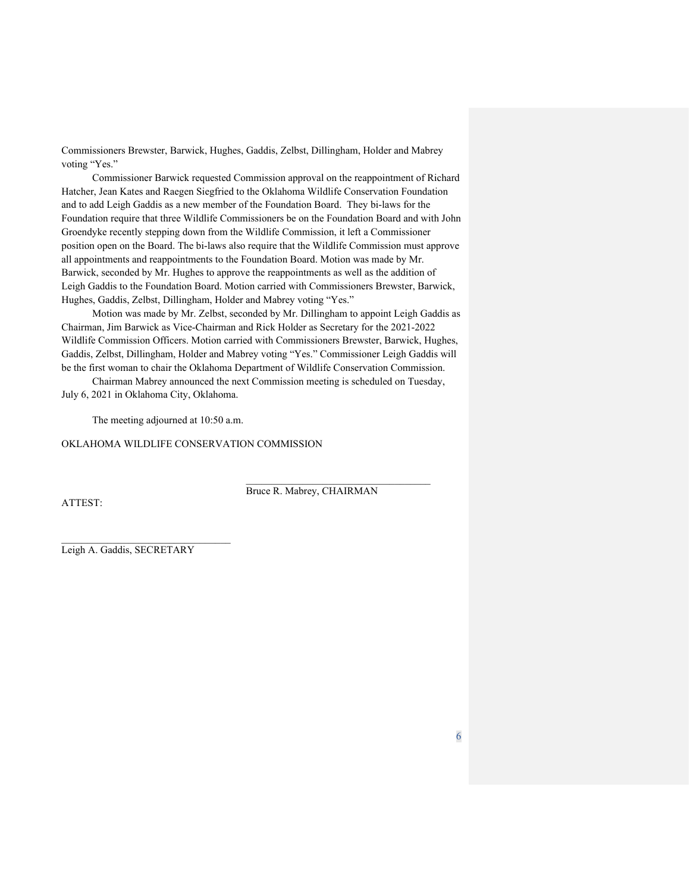Commissioners Brewster, Barwick, Hughes, Gaddis, Zelbst, Dillingham, Holder and Mabrey voting "Yes."

Commissioner Barwick requested Commission approval on the reappointment of Richard Hatcher, Jean Kates and Raegen Siegfried to the Oklahoma Wildlife Conservation Foundation and to add Leigh Gaddis as a new member of the Foundation Board. They bi-laws for the Foundation require that three Wildlife Commissioners be on the Foundation Board and with John Groendyke recently stepping down from the Wildlife Commission, it left a Commissioner position open on the Board. The bi-laws also require that the Wildlife Commission must approve all appointments and reappointments to the Foundation Board. Motion was made by Mr. Barwick, seconded by Mr. Hughes to approve the reappointments as well as the addition of Leigh Gaddis to the Foundation Board. Motion carried with Commissioners Brewster, Barwick, Hughes, Gaddis, Zelbst, Dillingham, Holder and Mabrey voting "Yes."

Motion was made by Mr. Zelbst, seconded by Mr. Dillingham to appoint Leigh Gaddis as Chairman, Jim Barwick as Vice-Chairman and Rick Holder as Secretary for the 2021-2022 Wildlife Commission Officers. Motion carried with Commissioners Brewster, Barwick, Hughes, Gaddis, Zelbst, Dillingham, Holder and Mabrey voting "Yes." Commissioner Leigh Gaddis will be the first woman to chair the Oklahoma Department of Wildlife Conservation Commission.

Chairman Mabrey announced the next Commission meeting is scheduled on Tuesday, July 6, 2021 in Oklahoma City, Oklahoma.

The meeting adjourned at 10:50 a.m.

OKLAHOMA WILDLIFE CONSERVATION COMMISSION

ATTEST:

Bruce R. Mabrey, CHAIRMAN

Leigh A. Gaddis, SECRETARY

\_\_\_\_\_\_\_\_\_\_\_\_\_\_\_\_\_\_\_\_\_\_\_\_\_\_\_\_\_\_\_\_\_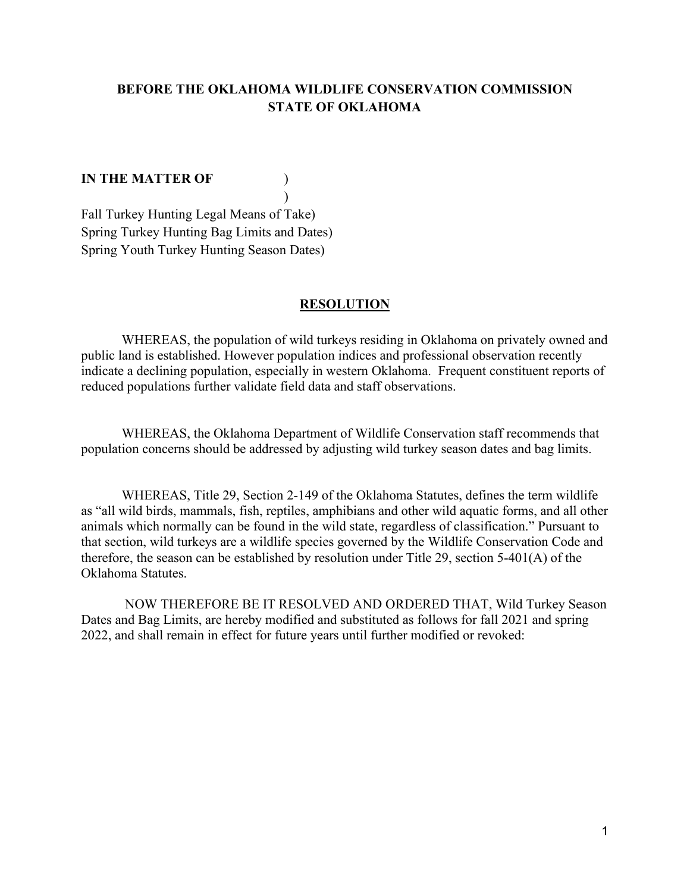## **BEFORE THE OKLAHOMA WILDLIFE CONSERVATION COMMISSION STATE OF OKLAHOMA**

### **IN THE MATTER OF** )

 $)$ 

Fall Turkey Hunting Legal Means of Take) Spring Turkey Hunting Bag Limits and Dates) Spring Youth Turkey Hunting Season Dates)

### **RESOLUTION**

WHEREAS, the population of wild turkeys residing in Oklahoma on privately owned and public land is established. However population indices and professional observation recently indicate a declining population, especially in western Oklahoma. Frequent constituent reports of reduced populations further validate field data and staff observations.

WHEREAS, the Oklahoma Department of Wildlife Conservation staff recommends that population concerns should be addressed by adjusting wild turkey season dates and bag limits.

WHEREAS, Title 29, Section 2-149 of the Oklahoma Statutes, defines the term wildlife as "all wild birds, mammals, fish, reptiles, amphibians and other wild aquatic forms, and all other animals which normally can be found in the wild state, regardless of classification." Pursuant to that section, wild turkeys are a wildlife species governed by the Wildlife Conservation Code and therefore, the season can be established by resolution under Title 29, section 5-401(A) of the Oklahoma Statutes.

NOW THEREFORE BE IT RESOLVED AND ORDERED THAT, Wild Turkey Season Dates and Bag Limits, are hereby modified and substituted as follows for fall 2021 and spring 2022, and shall remain in effect for future years until further modified or revoked: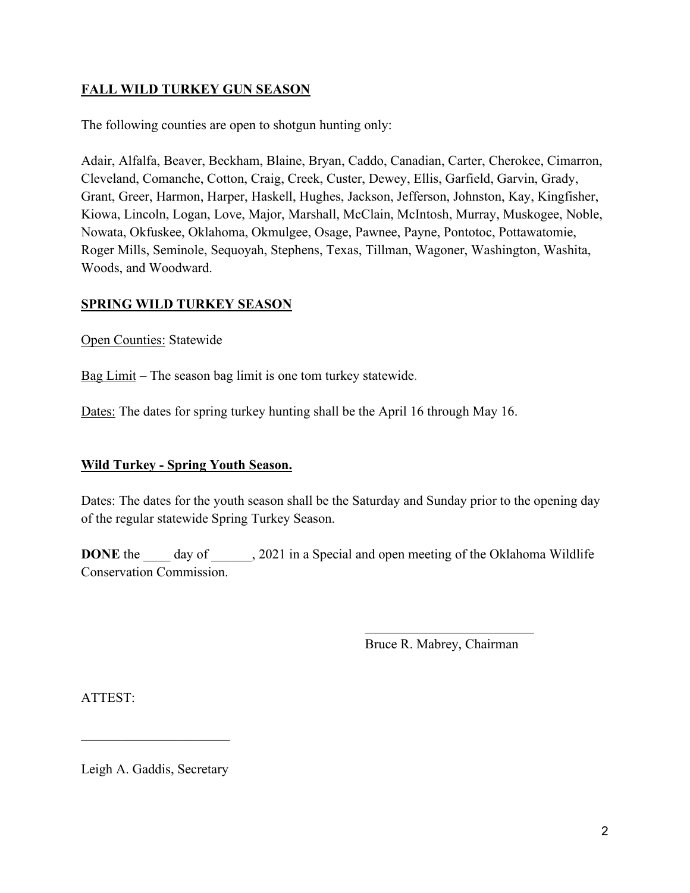# **FALL WILD TURKEY GUN SEASON**

The following counties are open to shotgun hunting only:

Adair, Alfalfa, Beaver, Beckham, Blaine, Bryan, Caddo, Canadian, Carter, Cherokee, Cimarron, Cleveland, Comanche, Cotton, Craig, Creek, Custer, Dewey, Ellis, Garfield, Garvin, Grady, Grant, Greer, Harmon, Harper, Haskell, Hughes, Jackson, Jefferson, Johnston, Kay, Kingfisher, Kiowa, Lincoln, Logan, Love, Major, Marshall, McClain, McIntosh, Murray, Muskogee, Noble, Nowata, Okfuskee, Oklahoma, Okmulgee, Osage, Pawnee, Payne, Pontotoc, Pottawatomie, Roger Mills, Seminole, Sequoyah, Stephens, Texas, Tillman, Wagoner, Washington, Washita, Woods, and Woodward.

## **SPRING WILD TURKEY SEASON**

Open Counties: Statewide

Bag Limit – The season bag limit is one tom turkey statewide.

Dates: The dates for spring turkey hunting shall be the April 16 through May 16.

## **Wild Turkey - Spring Youth Season.**

Dates: The dates for the youth season shall be the Saturday and Sunday prior to the opening day of the regular statewide Spring Turkey Season.

**DONE** the day of , 2021 in a Special and open meeting of the Oklahoma Wildlife Conservation Commission.

Bruce R. Mabrey, Chairman

ATTEST:

Leigh A. Gaddis, Secretary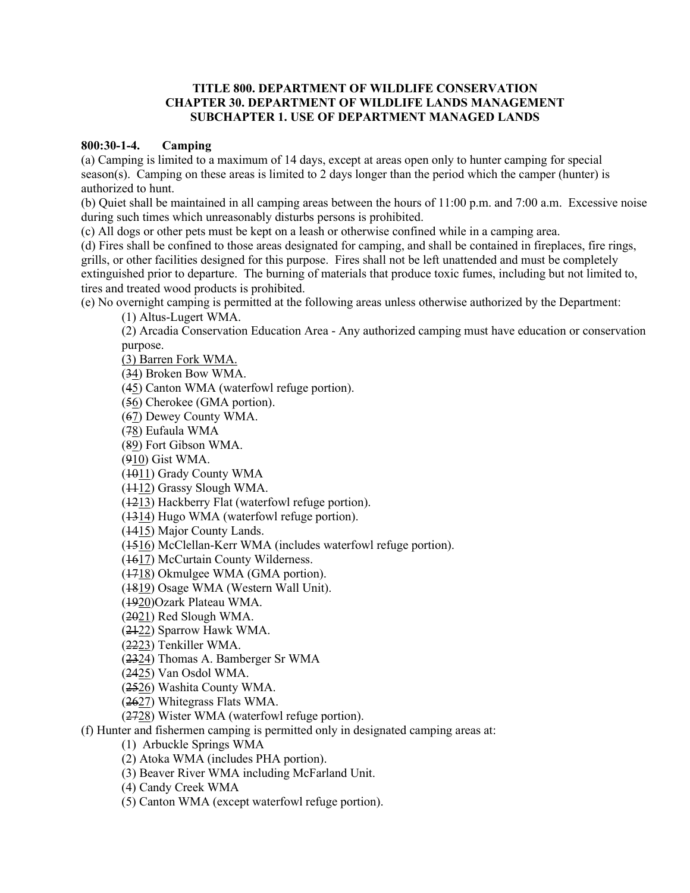### **TITLE 800. DEPARTMENT OF WILDLIFE CONSERVATION CHAPTER 30. DEPARTMENT OF WILDLIFE LANDS MANAGEMENT SUBCHAPTER 1. USE OF DEPARTMENT MANAGED LANDS**

#### **800:30-1-4. Camping**

(a) Camping is limited to a maximum of 14 days, except at areas open only to hunter camping for special season(s). Camping on these areas is limited to 2 days longer than the period which the camper (hunter) is authorized to hunt.

(b) Quiet shall be maintained in all camping areas between the hours of 11:00 p.m. and 7:00 a.m. Excessive noise during such times which unreasonably disturbs persons is prohibited.

(c) All dogs or other pets must be kept on a leash or otherwise confined while in a camping area.

(d) Fires shall be confined to those areas designated for camping, and shall be contained in fireplaces, fire rings, grills, or other facilities designed for this purpose. Fires shall not be left unattended and must be completely extinguished prior to departure. The burning of materials that produce toxic fumes, including but not limited to, tires and treated wood products is prohibited.

(e) No overnight camping is permitted at the following areas unless otherwise authorized by the Department:

(2) Arcadia Conservation Education Area - Any authorized camping must have education or conservation purpose.

(3) Barren Fork WMA.

(34) Broken Bow WMA.

(45) Canton WMA (waterfowl refuge portion).

(56) Cherokee (GMA portion).

(67) Dewey County WMA.

(78) Eufaula WMA

(89) Fort Gibson WMA.

(910) Gist WMA.

(1011) Grady County WMA

(1112) Grassy Slough WMA.

(1213) Hackberry Flat (waterfowl refuge portion).

(1314) Hugo WMA (waterfowl refuge portion).

(1415) Major County Lands.

(1516) McClellan-Kerr WMA (includes waterfowl refuge portion).

(1617) McCurtain County Wilderness.

(1718) Okmulgee WMA (GMA portion).

(1819) Osage WMA (Western Wall Unit).

(1920)Ozark Plateau WMA.

(2021) Red Slough WMA.

(2122) Sparrow Hawk WMA.

(2223) Tenkiller WMA.

(2324) Thomas A. Bamberger Sr WMA

(2425) Van Osdol WMA.

(2526) Washita County WMA.

(2627) Whitegrass Flats WMA.

(2728) Wister WMA (waterfowl refuge portion).

(f) Hunter and fishermen camping is permitted only in designated camping areas at:

(1) Arbuckle Springs WMA

(2) Atoka WMA (includes PHA portion).

(3) Beaver River WMA including McFarland Unit.

(4) Candy Creek WMA

(5) Canton WMA (except waterfowl refuge portion).

<sup>(1)</sup> Altus-Lugert WMA.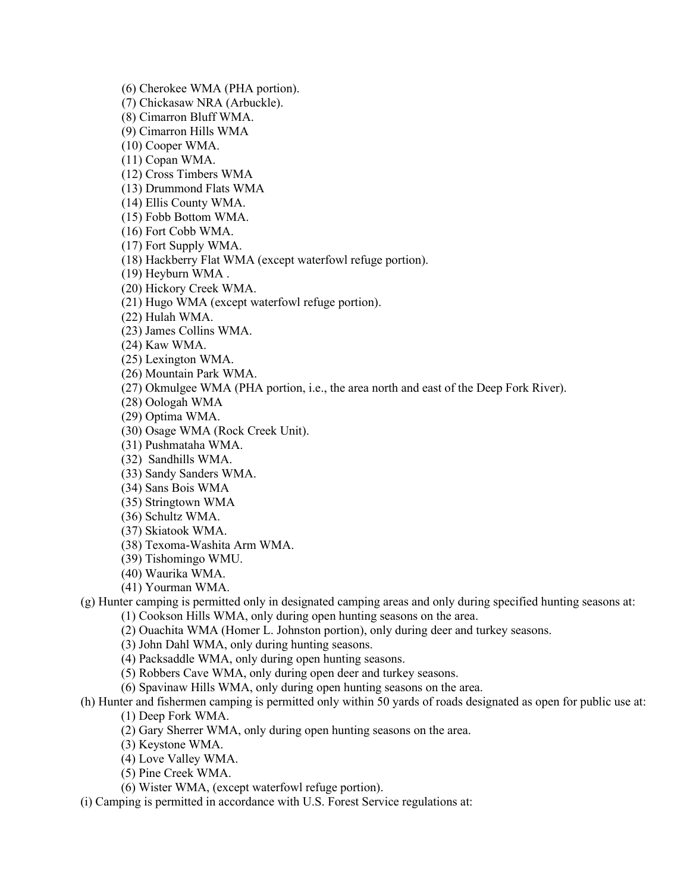(6) Cherokee WMA (PHA portion).

(7) Chickasaw NRA (Arbuckle).

(8) Cimarron Bluff WMA.

(9) Cimarron Hills WMA

(10) Cooper WMA.

(11) Copan WMA.

(12) Cross Timbers WMA

(13) Drummond Flats WMA

(14) Ellis County WMA.

(15) Fobb Bottom WMA.

(16) Fort Cobb WMA.

(17) Fort Supply WMA.

(18) Hackberry Flat WMA (except waterfowl refuge portion).

(19) Heyburn WMA .

(20) Hickory Creek WMA.

(21) Hugo WMA (except waterfowl refuge portion).

(22) Hulah WMA.

(23) James Collins WMA.

(24) Kaw WMA.

(25) Lexington WMA.

(26) Mountain Park WMA.

(27) Okmulgee WMA (PHA portion, i.e., the area north and east of the Deep Fork River).

(28) Oologah WMA

(29) Optima WMA.

(30) Osage WMA (Rock Creek Unit).

(31) Pushmataha WMA.

(32) Sandhills WMA.

(33) Sandy Sanders WMA.

(34) Sans Bois WMA

(35) Stringtown WMA

(36) Schultz WMA.

(37) Skiatook WMA.

(38) Texoma-Washita Arm WMA.

(39) Tishomingo WMU.

(40) Waurika WMA.

(41) Yourman WMA.

(g) Hunter camping is permitted only in designated camping areas and only during specified hunting seasons at:

(1) Cookson Hills WMA, only during open hunting seasons on the area.

(2) Ouachita WMA (Homer L. Johnston portion), only during deer and turkey seasons.

(3) John Dahl WMA, only during hunting seasons.

(4) Packsaddle WMA, only during open hunting seasons.

(5) Robbers Cave WMA, only during open deer and turkey seasons.

(6) Spavinaw Hills WMA, only during open hunting seasons on the area.

(h) Hunter and fishermen camping is permitted only within 50 yards of roads designated as open for public use at: (1) Deep Fork WMA.

(2) Gary Sherrer WMA, only during open hunting seasons on the area.

(3) Keystone WMA.

(4) Love Valley WMA.

(5) Pine Creek WMA.

(6) Wister WMA, (except waterfowl refuge portion).

(i) Camping is permitted in accordance with U.S. Forest Service regulations at: